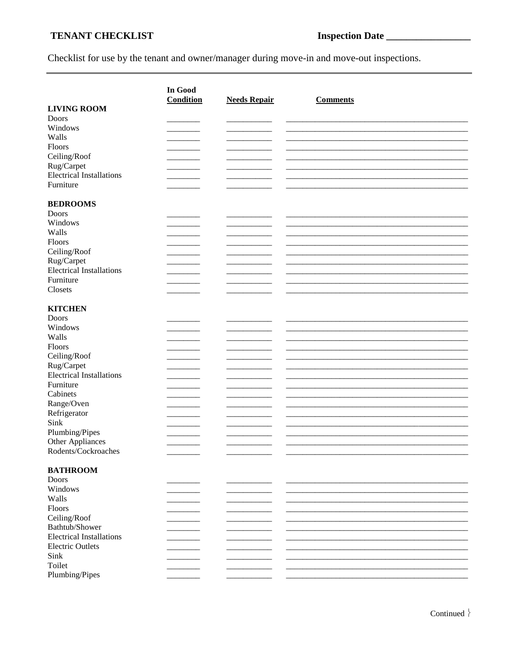## TENANT CHECKLIST

## 

Checklist for use by the tenant and owner/manager during move-in and move-out inspections.

|                                               | In Good          |                     |                 |  |
|-----------------------------------------------|------------------|---------------------|-----------------|--|
| <b>LIVING ROOM</b>                            | <b>Condition</b> | <b>Needs Repair</b> | <b>Comments</b> |  |
| Doors                                         |                  |                     |                 |  |
| Windows                                       |                  |                     |                 |  |
| Walls                                         |                  |                     |                 |  |
| Floors                                        |                  |                     |                 |  |
| Ceiling/Roof                                  |                  |                     |                 |  |
|                                               |                  |                     |                 |  |
| Rug/Carpet<br><b>Electrical Installations</b> |                  |                     |                 |  |
| Furniture                                     |                  |                     |                 |  |
|                                               |                  |                     |                 |  |
|                                               |                  |                     |                 |  |
| <b>BEDROOMS</b>                               |                  |                     |                 |  |
| Doors                                         |                  |                     |                 |  |
| Windows                                       |                  |                     |                 |  |
| Walls                                         |                  |                     |                 |  |
| Floors                                        |                  |                     |                 |  |
| Ceiling/Roof                                  |                  |                     |                 |  |
| Rug/Carpet                                    |                  |                     |                 |  |
| <b>Electrical Installations</b>               |                  |                     |                 |  |
| Furniture                                     |                  |                     |                 |  |
| Closets                                       |                  |                     |                 |  |
|                                               |                  |                     |                 |  |
| <b>KITCHEN</b>                                |                  |                     |                 |  |
| Doors                                         |                  |                     |                 |  |
| Windows                                       |                  |                     |                 |  |
| Walls                                         |                  |                     |                 |  |
| Floors                                        |                  |                     |                 |  |
| Ceiling/Roof                                  |                  |                     |                 |  |
| Rug/Carpet                                    |                  |                     |                 |  |
| <b>Electrical Installations</b>               |                  |                     |                 |  |
| Furniture                                     |                  |                     |                 |  |
| Cabinets                                      |                  |                     |                 |  |
| Range/Oven                                    |                  |                     |                 |  |
| Refrigerator                                  |                  |                     |                 |  |
| Sink                                          |                  |                     |                 |  |
| Plumbing/Pipes                                |                  |                     |                 |  |
| Other Appliances                              |                  |                     |                 |  |
| Rodents/Cockroaches                           |                  |                     |                 |  |
|                                               |                  |                     |                 |  |
| <b>BATHROOM</b>                               |                  |                     |                 |  |
| <b>Doors</b>                                  |                  |                     |                 |  |
| Windows                                       |                  |                     |                 |  |
| Walls                                         |                  |                     |                 |  |
| Floors                                        |                  |                     |                 |  |
| Ceiling/Roof                                  |                  |                     |                 |  |
| Bathtub/Shower                                |                  |                     |                 |  |
| <b>Electrical Installations</b>               |                  |                     |                 |  |
| <b>Electric Outlets</b>                       |                  |                     |                 |  |
| Sink                                          |                  |                     |                 |  |
| Toilet                                        |                  |                     |                 |  |
| Plumbing/Pipes                                |                  |                     |                 |  |
|                                               |                  |                     |                 |  |